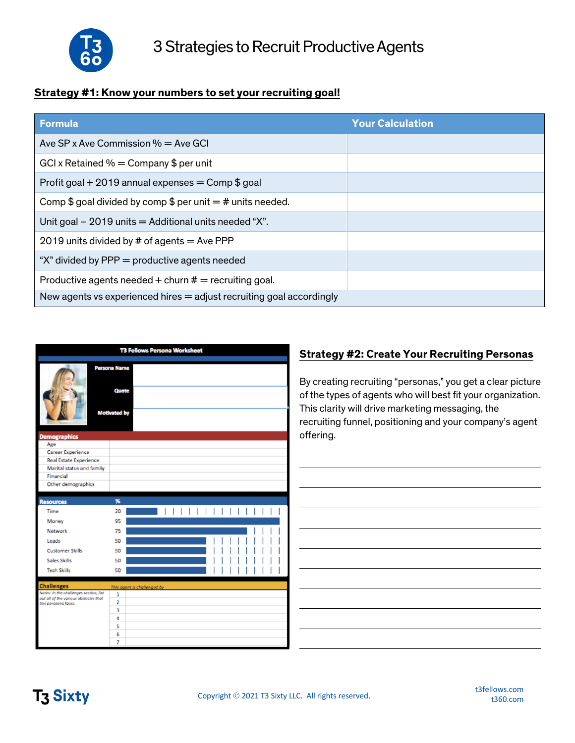

## **Strategy #1: Know your numbers to set your recruiting goal!**

| <b>Formula</b>                                                       | <b>Your Calculation</b> |
|----------------------------------------------------------------------|-------------------------|
| Ave SP x Ave Commission $% =$ Ave GCI                                |                         |
| GCI x Retained $%$ = Company \$ per unit                             |                         |
| Profit goal + 2019 annual expenses = $Comp$ \$ goal                  |                         |
| Comp \$ goal divided by comp \$ per unit $=$ # units needed.         |                         |
| Unit goal $-2019$ units $=$ Additional units needed "X".             |                         |
| 2019 units divided by $#$ of agents $=$ Ave PPP                      |                         |
| " $X$ " divided by PPP $=$ productive agents needed                  |                         |
| Productive agents needed $+$ churn $#$ = recruiting goal.            |                         |
| New agents vs experienced hires = adjust recruiting goal accordingly |                         |

| <b>T3 Fellows Persona Worksheet</b>                           |                |                             |  |  |  |  |  |  |  |  |  |  |  |
|---------------------------------------------------------------|----------------|-----------------------------|--|--|--|--|--|--|--|--|--|--|--|
| <b>Persona Name</b><br>Quote<br>Motivated by                  |                |                             |  |  |  |  |  |  |  |  |  |  |  |
| <b>Demographics</b>                                           |                |                             |  |  |  |  |  |  |  |  |  |  |  |
| Age                                                           |                |                             |  |  |  |  |  |  |  |  |  |  |  |
| <b>Career Experience</b>                                      |                |                             |  |  |  |  |  |  |  |  |  |  |  |
| <b>Real Estate Experience</b>                                 |                |                             |  |  |  |  |  |  |  |  |  |  |  |
| Marital status and family<br>Financial                        |                |                             |  |  |  |  |  |  |  |  |  |  |  |
| Other demographics                                            |                |                             |  |  |  |  |  |  |  |  |  |  |  |
|                                                               |                |                             |  |  |  |  |  |  |  |  |  |  |  |
| <b>Resources</b>                                              | $\frac{96}{2}$ |                             |  |  |  |  |  |  |  |  |  |  |  |
| Time                                                          | 20             |                             |  |  |  |  |  |  |  |  |  |  |  |
| Money                                                         | 95             |                             |  |  |  |  |  |  |  |  |  |  |  |
| Network                                                       | 75             |                             |  |  |  |  |  |  |  |  |  |  |  |
| Leads                                                         | 50             |                             |  |  |  |  |  |  |  |  |  |  |  |
| <b>Customer Skills</b>                                        | 50             |                             |  |  |  |  |  |  |  |  |  |  |  |
| Sales Skills                                                  | 50             |                             |  |  |  |  |  |  |  |  |  |  |  |
| <b>Tech Skills</b>                                            | 50             |                             |  |  |  |  |  |  |  |  |  |  |  |
| <b>Challenges</b>                                             |                | This agent is challenged by |  |  |  |  |  |  |  |  |  |  |  |
| Notes: in the challenges section, list                        | 1              |                             |  |  |  |  |  |  |  |  |  |  |  |
| out all of the various obstacles that<br>this perosona faces. | 2              |                             |  |  |  |  |  |  |  |  |  |  |  |
|                                                               | 3              |                             |  |  |  |  |  |  |  |  |  |  |  |
|                                                               | 4              |                             |  |  |  |  |  |  |  |  |  |  |  |
|                                                               |                |                             |  |  |  |  |  |  |  |  |  |  |  |
|                                                               | 5              |                             |  |  |  |  |  |  |  |  |  |  |  |
|                                                               | 6              |                             |  |  |  |  |  |  |  |  |  |  |  |

## **Strategy #2: Create Your Recruiting Personas**

By creating recruiting "personas," you get a clear picture of the types of agents who will best fit your organization. This clarity will drive marketing messaging, the recruiting funnel, positioning and your company's agent offering.